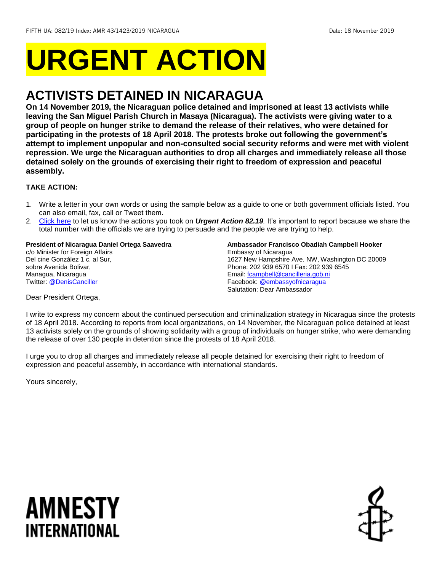# **URGENT ACTION**

## **ACTIVISTS DETAINED IN NICARAGUA**

**On 14 November 2019, the Nicaraguan police detained and imprisoned at least 13 activists while leaving the San Miguel Parish Church in Masaya (Nicaragua). The activists were giving water to a group of people on hunger strike to demand the release of their relatives, who were detained for participating in the protests of 18 April 2018. The protests broke out following the government's attempt to implement unpopular and non-consulted social security reforms and were met with violent repression. We urge the Nicaraguan authorities to drop all charges and immediately release all those detained solely on the grounds of exercising their right to freedom of expression and peaceful assembly.**

#### **TAKE ACTION:**

- 1. Write a letter in your own words or using the sample below as a guide to one or both government officials listed. You can also email, fax, call or Tweet them.
- 2. [Click here](https://www.amnestyusa.org/report-urgent-actions/) to let us know the actions you took on *Urgent Action 82.19.* It's important to report because we share the total number with the officials we are trying to persuade and the people we are trying to help.

#### **President of Nicaragua Daniel Ortega Saavedra**

c/o Minister for Foreign Affairs Del cine González 1 c. al Sur. sobre Avenida Bolivar, Managua, Nicaragua Twitter: [@DenisCanciller](https://twitter.com/deniscanciller?lang=en)

**Ambassador Francisco Obadiah Campbell Hooker** Embassy of Nicaragua 1627 New Hampshire Ave. NW, Washington DC 20009 Phone: 202 939 6570 I Fax: 202 939 6545 Email[: fcampbell@cancilleria.gob.ni](mailto:fcampbell@cancilleria.gob.ni) Facebook[: @embassyofnicaragua](https://www.facebook.com/pages/Embassy-of-Nicaragua-in-Washington-DC/123504134398110) Salutation: Dear Ambassador

Dear President Ortega,

I write to express my concern about the continued persecution and criminalization strategy in Nicaragua since the protests of 18 April 2018. According to reports from local organizations, on 14 November, the Nicaraguan police detained at least 13 activists solely on the grounds of showing solidarity with a group of individuals on hunger strike, who were demanding the release of over 130 people in detention since the protests of 18 April 2018.

I urge you to drop all charges and immediately release all people detained for exercising their right to freedom of expression and peaceful assembly, in accordance with international standards.

Yours sincerely,